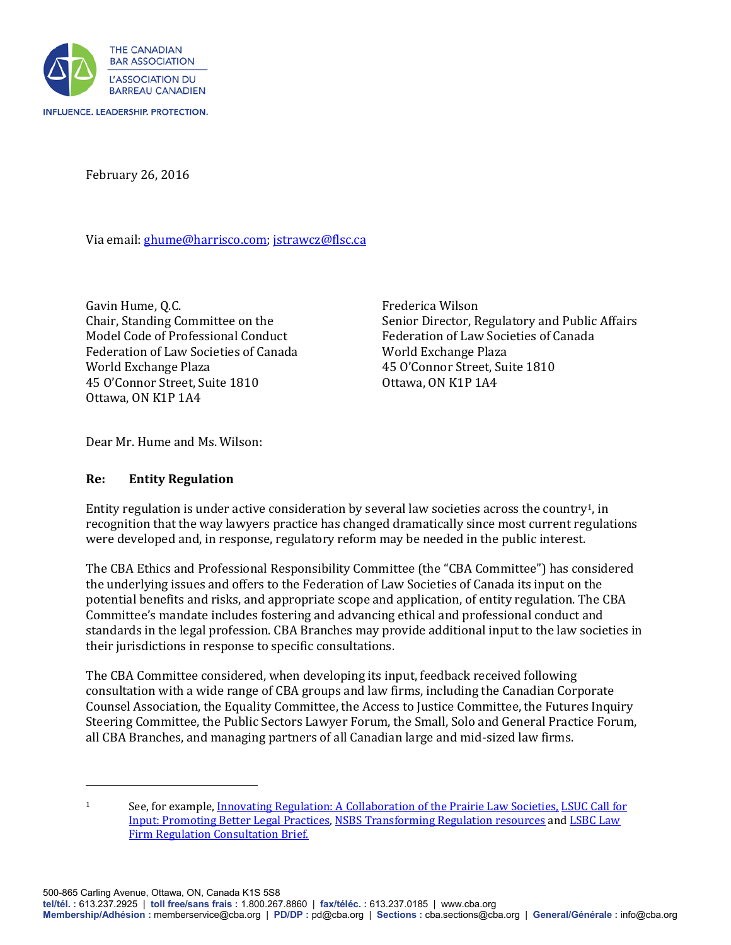

February 26, 2016

Via email: [ghume@harrisco.com;](mailto:ghume@harrisco.com) [jstrawcz@flsc.ca](mailto:jstrawcz@flsc.ca)

Gavin Hume, Q.C. Chair, Standing Committee on the Model Code of Professional Conduct Federation of Law Societies of Canada World Exchange Plaza 45 O'Connor Street, Suite 1810 Ottawa, ON K1P 1A4

Frederica Wilson Senior Director, Regulatory and Public Affairs Federation of Law Societies of Canada World Exchange Plaza 45 O'Connor Street, Suite 1810 Ottawa, ON K1P 1A4

Dear Mr. Hume and Ms. Wilson:

# **Re: Entity Regulation**

 $\overline{\phantom{a}}$ 

Entity regulation is under active consideration by several law societies across the country<sup>[1](#page-0-0)</sup>, in recognition that the way lawyers practice has changed dramatically since most current regulations were developed and, in response, regulatory reform may be needed in the public interest.

The CBA Ethics and Professional Responsibility Committee (the "CBA Committee") has considered the underlying issues and offers to the Federation of Law Societies of Canada its input on the potential benefits and risks, and appropriate scope and application, of entity regulation. The CBA Committee's mandate includes fostering and advancing ethical and professional conduct and standards in the legal profession. CBA Branches may provide additional input to the law societies in their jurisdictions in response to specific consultations.

The CBA Committee considered, when developing its input, feedback received following consultation with a wide range of CBA groups and law firms, including the Canadian Corporate Counsel Association, the Equality Committee, the Access to Justice Committee, the Futures Inquiry Steering Committee, the Public Sectors Lawyer Forum, the Small, Solo and General Practice Forum, all CBA Branches, and managing partners of all Canadian large and mid-sized law firms.

<span id="page-0-0"></span><sup>1</sup> See, for example, Innovating Regulation: A [Collaboration](http://www.lawsociety.sk.ca/media/127107/INNOVATINGREGULATION.pdf) of the Prairie Law Societies, [LSUC](http://www.lsuc.on.ca/uploadedFiles/compliance-based-entity-regulation-consultation-paper.pdf) Call for Input: [Promoting](http://www.lsuc.on.ca/uploadedFiles/compliance-based-entity-regulation-consultation-paper.pdf) Better Legal Practices, NSBS [Transforming](http://nsbs.org/reports-resources) Regulation resources and [LSBC](http://www.lawsociety.bc.ca/docs/newsroom/highlights/FirmRegulation-brief.pdf) Law Firm Regulation [Consultation](http://www.lawsociety.bc.ca/docs/newsroom/highlights/FirmRegulation-brief.pdf) Brief.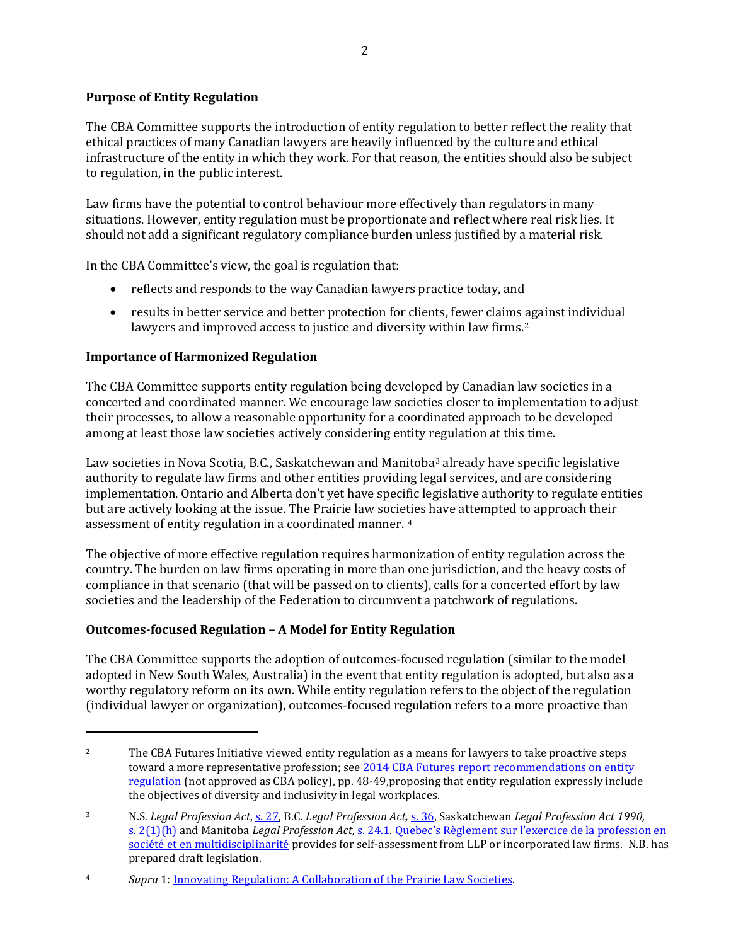#### **Purpose of Entity Regulation**

The CBA Committee supports the introduction of entity regulation to better reflect the reality that ethical practices of many Canadian lawyers are heavily influenced by the culture and ethical infrastructure of the entity in which they work. For that reason, the entities should also be subject to regulation, in the public interest.

Law firms have the potential to control behaviour more effectively than regulators in many situations. However, entity regulation must be proportionate and reflect where real risk lies. It should not add a significant regulatory compliance burden unless justified by a material risk.

In the CBA Committee's view, the goal is regulation that:

- reflects and responds to the way Canadian lawyers practice today, and
- results in better service and better protection for clients, fewer claims against individual lawyers and improved access to justice and diversity within law firms.<sup>2</sup>

#### **Importance of Harmonized Regulation**

 $\overline{\phantom{a}}$ 

The CBA Committee supports entity regulation being developed by Canadian law societies in a concerted and coordinated manner. We encourage law societies closer to implementation to adjust their processes, to allow a reasonable opportunity for a coordinated approach to be developed among at least those law societies actively considering entity regulation at this time.

Law societies in Nova Scotia, B.C., Saskatchewan and Manitoba<sup>[3](#page-1-1)</sup> already have specific legislative authority to regulate law firms and other entities providing legal services, and are considering implementation. Ontario and Alberta don't yet have specific legislative authority to regulate entities but are actively looking at the issue. The Prairie law socie[ti](#page-1-2)es have attempted to approach their assessment of entity regulation in a coordinated manner. <sup>4</sup>

The objective of more effective regulation requires harmonization of entity regulation across the country. The burden on law firms operating in more than one jurisdiction, and the heavy costs of compliance in that scenario (that will be passed on to clients), calls for a concerted effort by law societies and the leadership of the Federation to circumvent a patchwork of regulations.

# **Outcomes-focused Regulation – A Model for Entity Regulation**

The CBA Committee supports the adoption of outcomes-focused regulation (similar to the model adopted in New South Wales, Australia) in the event that entity regulation is adopted, but also as a worthy regulatory reform on its own. While entity regulation refers to the object of the regulation (individual lawyer or organization), outcomes-focused regulation refers to a more proactive than

<span id="page-1-0"></span><sup>&</sup>lt;sup>2</sup> The CBA Futures Initiative viewed entity regulation as a means for lawyers to take proactive steps toward a more representative profession; see 2014 CBA Futures report [recommendations](http://www.cbafutures.org/CBA/media/mediafiles/PDF/Reports/Futures-Final-eng.pdf?ext=.pdf) on entity [regulation](http://www.cbafutures.org/CBA/media/mediafiles/PDF/Reports/Futures-Final-eng.pdf?ext=.pdf) (not approved as CBA policy), pp. 48-49,proposing that entity regulation expressly include the objectives of diversity and inclusivity in legal workplaces.

<span id="page-1-1"></span><sup>3</sup> N.S*. Legal Profession Act*, s. [27](http://www.canlii.org/en/ns/laws/stat/sns-2004-c-28/latest/sns-2004-c-28.html), B.C. *Legal Profession Act,* s. [36,](http://www.canlii.org/en/bc/laws/stat/sbc-1998-c-9/latest/sbc-1998-c-9.html) Saskatchewan *Legal Profession Act 1990,*  s. [2\(1\)\(h\)](http://www.qp.gov.sk.ca/documents/English/Statutes/Statutes/L10-1.pdf) and Manitoba *Legal Profession Act,* s. [24.1.](http://www.canlii.org/en/mb/laws/stat/ccsm-c-l107/latest/ccsm-c-l107.html?resultIndex=1) Quebec's [Règlement](http://www2.publicationsduquebec.gouv.qc.ca/dynamicSearch/telecharge.php?type=2&file=//B_1/B1R9.htm) sur l'exercice de la profession en société et en [multidisciplinarité](http://www2.publicationsduquebec.gouv.qc.ca/dynamicSearch/telecharge.php?type=2&file=//B_1/B1R9.htm) provides for self-assessment from LLP or incorporated law firms. N.B. has prepared draft legislation.

<span id="page-1-2"></span><sup>4</sup> *Supra* 1: Innovating Regulation: A [Collaboration](http://www.lawsociety.sk.ca/media/127107/INNOVATINGREGULATION.pdf) of the Prairie Law Societies.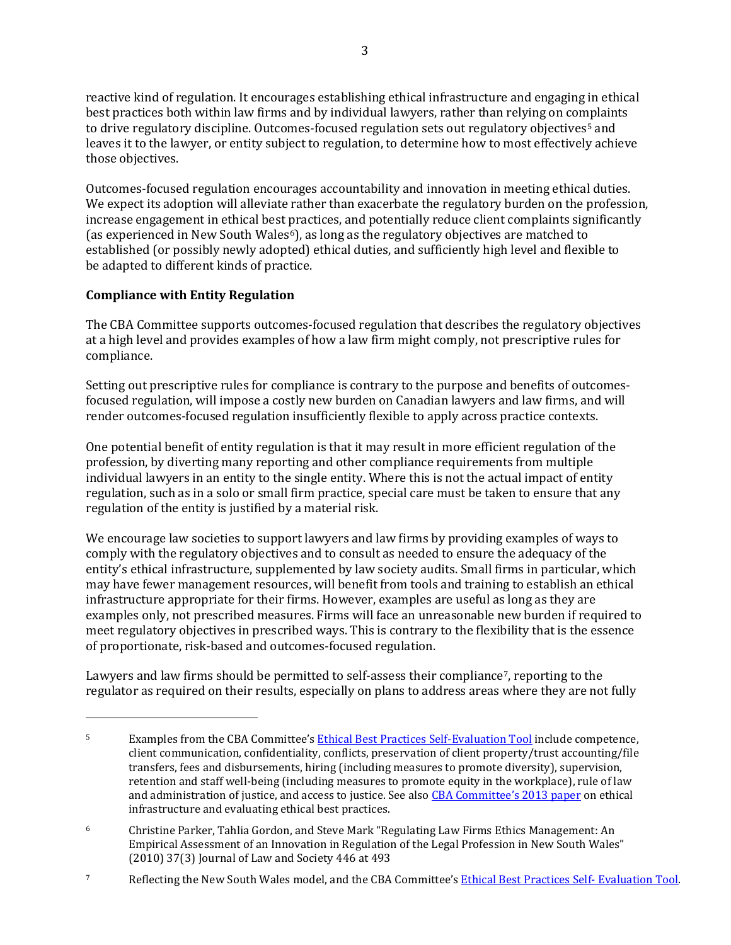reactive kind of regulation. It encourages establishing ethical infrastructure and engaging in ethical best practices both within law firms and by individual lawyers, rather than relying on complaints to drive regulatory discipline. Outcomes-focused regulation sets out regulatory objectives<sup>[5](#page-2-0)</sup> and leaves it to the lawyer, or entity subject to regulation, to determine how to most effectively achieve those objectives.

Outcomes-focused regulation encourages accountability and innovation in meeting ethical duties. We expect its adoption will alleviate rather than exacerbate the regulatory burden on the profession, increase engagement in ethical best practices, and potentially reduce client complaints significantly (as experienced in New South Wales<sup>6</sup>), as long as the regulatory objectives are matched to established (or possibly newly adopted) ethical duties, and sufficiently high level and flexible to be adapted to different kinds of practice.

# **Compliance with Entity Regulation**

l

The CBA Committee supports outcomes-focused regulation that describes the regulatory objectives at a high level and provides examples of how a law firm might comply, not prescriptive rules for compliance.

Setting out prescriptive rules for compliance is contrary to the purpose and benefits of outcomesfocused regulation, will impose a costly new burden on Canadian lawyers and law firms, and will render outcomes-focused regulation insufficiently flexible to apply across practice contexts.

One potential benefit of entity regulation is that it may result in more efficient regulation of the profession, by diverting many reporting and other compliance requirements from multiple individual lawyers in an entity to the single entity. Where this is not the actual impact of entity regulation, such as in a solo or small firm practice, special care must be taken to ensure that any regulation of the entity is justified by a material risk.

We encourage law societies to support lawyers and law firms by providing examples of ways to comply with the regulatory objectives and to consult as needed to ensure the adequacy of the entity's ethical infrastructure, supplemented by law society audits. Small firms in particular, which may have fewer management resources, will benefit from tools and training to establish an ethical infrastructure appropriate for their firms. However, examples are useful as long as they are examples only, not prescribed measures. Firms will face an unreasonable new burden if required to meet regulatory objectives in prescribed ways. This is contrary to the flexibility that is the essence of proportionate, risk-based and outcomes-focused regulation.

Lawyers and law firms should be permitted to self-assess their compliance[7](#page-2-2), reporting to the regulator as required on their results, especially on plans to address areas where they are not fully

<span id="page-2-0"></span><sup>&</sup>lt;sup>5</sup> Examples from the CBA Committee's Ethical Best Practices [Self-Evaluation](http://www.cba.org/getattachment/Publications-Resources/Practice-Tools/Ethics-and-Professional-Responsibility-(1)/Resources/Resources/Ethical-Practices-Self-Evaluation-Tool/ethicalSelfevaluationEng.pdf) Tool include competence, client communication, confidentiality, conflicts, preservation of client property/trust accounting/file transfers, fees and disbursements, hiring (including measures to promote diversity), supervision, retention and staff well-being (including measures to promote equity in the workplace), rule of law and administration of justice, and access to justice. See also CBA [Committee's](http://www.cba.org/CBA/activities/pdf/ethicalinfrastructureguide-e.pdf) 2013 paper on ethical infrastructure and evaluating ethical best practices.

<span id="page-2-1"></span><sup>6</sup> Christine Parker, Tahlia Gordon, and Steve Mark "Regulating Law Firms Ethics Management: An Empirical Assessment of an Innovation in Regulation of the Legal Profession in New South Wales" (2010) 37(3) Journal of Law and Society 446 at 493

<span id="page-2-2"></span><sup>7</sup> Reflecting the New South Wales model, and the CBA Committee's Ethical Best Practices Self- [Evaluation](http://www.cba.org/getattachment/Publications-Resources/Practice-Tools/Ethics-and-Professional-Responsibility-(1)/Resources/Resources/Ethical-Practices-Self-Evaluation-Tool/ethicalSelfevaluationEng.pdf) Tool.